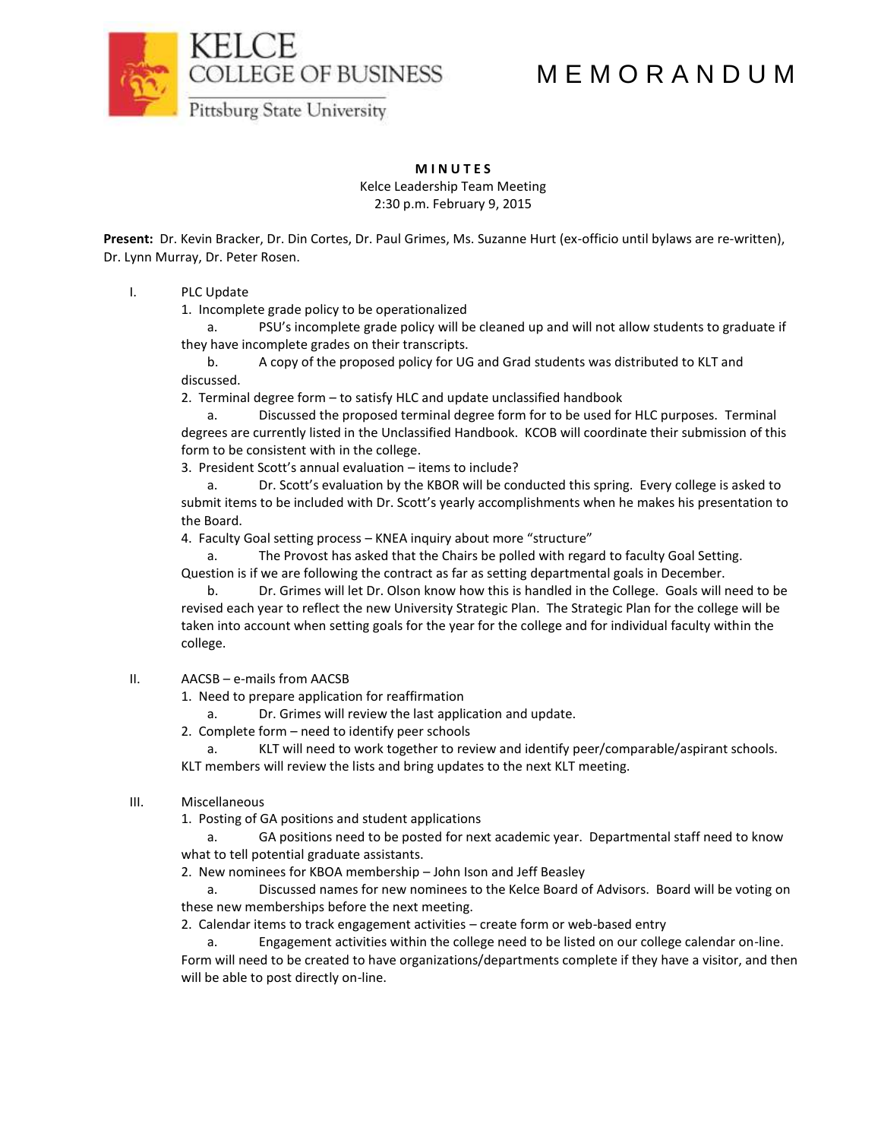M E M O R A N D U M



# **M I N U T E S**

Kelce Leadership Team Meeting 2:30 p.m. February 9, 2015

**Present:** Dr. Kevin Bracker, Dr. Din Cortes, Dr. Paul Grimes, Ms. Suzanne Hurt (ex-officio until bylaws are re-written), Dr. Lynn Murray, Dr. Peter Rosen.

## I. PLC Update

1. Incomplete grade policy to be operationalized

a. PSU's incomplete grade policy will be cleaned up and will not allow students to graduate if they have incomplete grades on their transcripts.

b. A copy of the proposed policy for UG and Grad students was distributed to KLT and discussed.

2. Terminal degree form – to satisfy HLC and update unclassified handbook

a. Discussed the proposed terminal degree form for to be used for HLC purposes. Terminal degrees are currently listed in the Unclassified Handbook. KCOB will coordinate their submission of this form to be consistent with in the college.

3. President Scott's annual evaluation – items to include?

a. Dr. Scott's evaluation by the KBOR will be conducted this spring. Every college is asked to submit items to be included with Dr. Scott's yearly accomplishments when he makes his presentation to the Board.

4. Faculty Goal setting process – KNEA inquiry about more "structure"

a. The Provost has asked that the Chairs be polled with regard to faculty Goal Setting. Question is if we are following the contract as far as setting departmental goals in December.

b. Dr. Grimes will let Dr. Olson know how this is handled in the College. Goals will need to be revised each year to reflect the new University Strategic Plan. The Strategic Plan for the college will be taken into account when setting goals for the year for the college and for individual faculty within the college.

## II. AACSB – e-mails from AACSB

1. Need to prepare application for reaffirmation

a. Dr. Grimes will review the last application and update.

2. Complete form – need to identify peer schools

a. KLT will need to work together to review and identify peer/comparable/aspirant schools. KLT members will review the lists and bring updates to the next KLT meeting.

## III. Miscellaneous

1. Posting of GA positions and student applications

a. GA positions need to be posted for next academic year. Departmental staff need to know what to tell potential graduate assistants.

2. New nominees for KBOA membership – John Ison and Jeff Beasley

a. Discussed names for new nominees to the Kelce Board of Advisors. Board will be voting on these new memberships before the next meeting.

2. Calendar items to track engagement activities – create form or web-based entry

a. Engagement activities within the college need to be listed on our college calendar on-line. Form will need to be created to have organizations/departments complete if they have a visitor, and then will be able to post directly on-line.